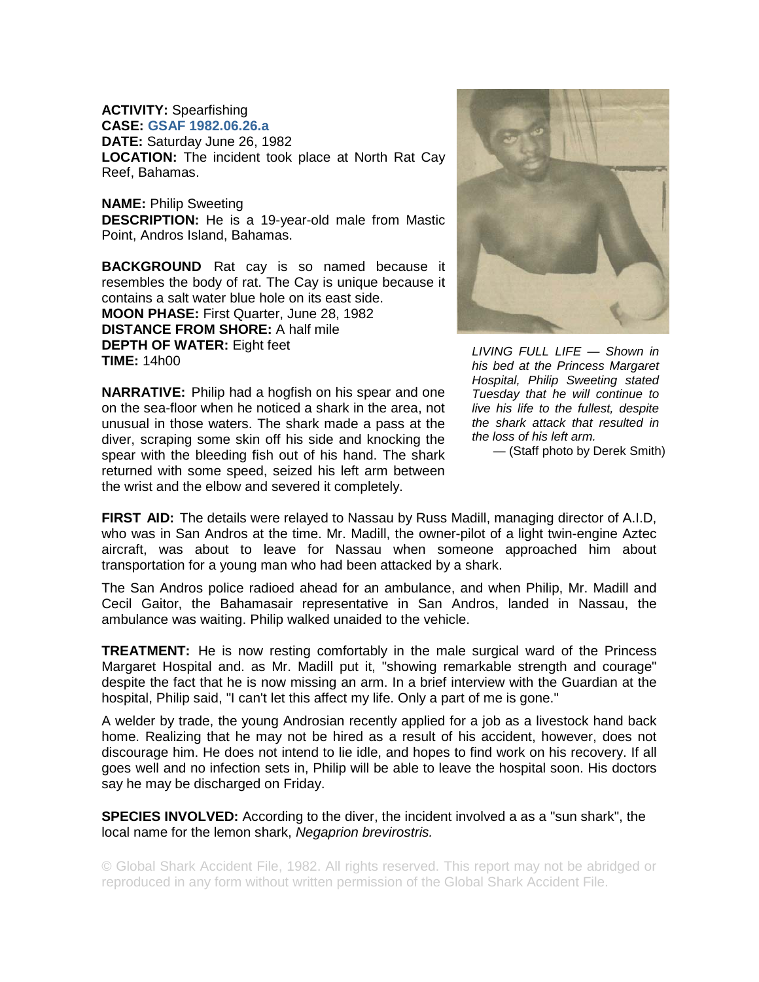**ACTIVITY:** Spearfishing **CASE: GSAF 1982.06.26.a**

**DATE:** Saturday June 26, 1982 **LOCATION:** The incident took place at North Rat Cay Reef, Bahamas.

**NAME:** Philip Sweeting **DESCRIPTION:** He is a 19-year-old male from Mastic Point, Andros Island, Bahamas.

**BACKGROUND** Rat cay is so named because it resembles the body of rat. The Cay is unique because it contains a salt water blue hole on its east side. **MOON PHASE:** First Quarter, June 28, 1982 **DISTANCE FROM SHORE:** A half mile **DEPTH OF WATER:** Eight feet **TIME:** 14h00

**NARRATIVE:** Philip had a hogfish on his spear and one on the sea-floor when he noticed a shark in the area, not unusual in those waters. The shark made a pass at the diver, scraping some skin off his side and knocking the spear with the bleeding fish out of his hand. The shark returned with some speed, seized his left arm between the wrist and the elbow and severed it completely.



*LIVING FULL LIFE — Shown in his bed at the Princess Margaret Hospital, Philip Sweeting stated Tuesday that he will continue to live his life to the fullest, despite the shark attack that resulted in the loss of his left arm.* 

— (Staff photo by Derek Smith)

**FIRST AID:** The details were relayed to Nassau by Russ Madill, managing director of A.I.D, who was in San Andros at the time. Mr. Madill, the owner-pilot of a light twin-engine Aztec aircraft, was about to leave for Nassau when someone approached him about transportation for a young man who had been attacked by a shark.

The San Andros police radioed ahead for an ambulance, and when Philip, Mr. Madill and Cecil Gaitor, the Bahamasair representative in San Andros, landed in Nassau, the ambulance was waiting. Philip walked unaided to the vehicle.

**TREATMENT:** He is now resting comfortably in the male surgical ward of the Princess Margaret Hospital and. as Mr. Madill put it, "showing remarkable strength and courage" despite the fact that he is now missing an arm. In a brief interview with the Guardian at the hospital, Philip said, "I can't let this affect my life. Only a part of me is gone."

A welder by trade, the young Androsian recently applied for a job as a livestock hand back home. Realizing that he may not be hired as a result of his accident, however, does not discourage him. He does not intend to lie idle, and hopes to find work on his recovery. If all goes well and no infection sets in, Philip will be able to leave the hospital soon. His doctors say he may be discharged on Friday.

**SPECIES INVOLVED:** According to the diver, the incident involved a as a "sun shark", the local name for the lemon shark, *Negaprion brevirostris.*

© Global Shark Accident File, 1982. All rights reserved. This report may not be abridged or reproduced in any form without written permission of the Global Shark Accident File.